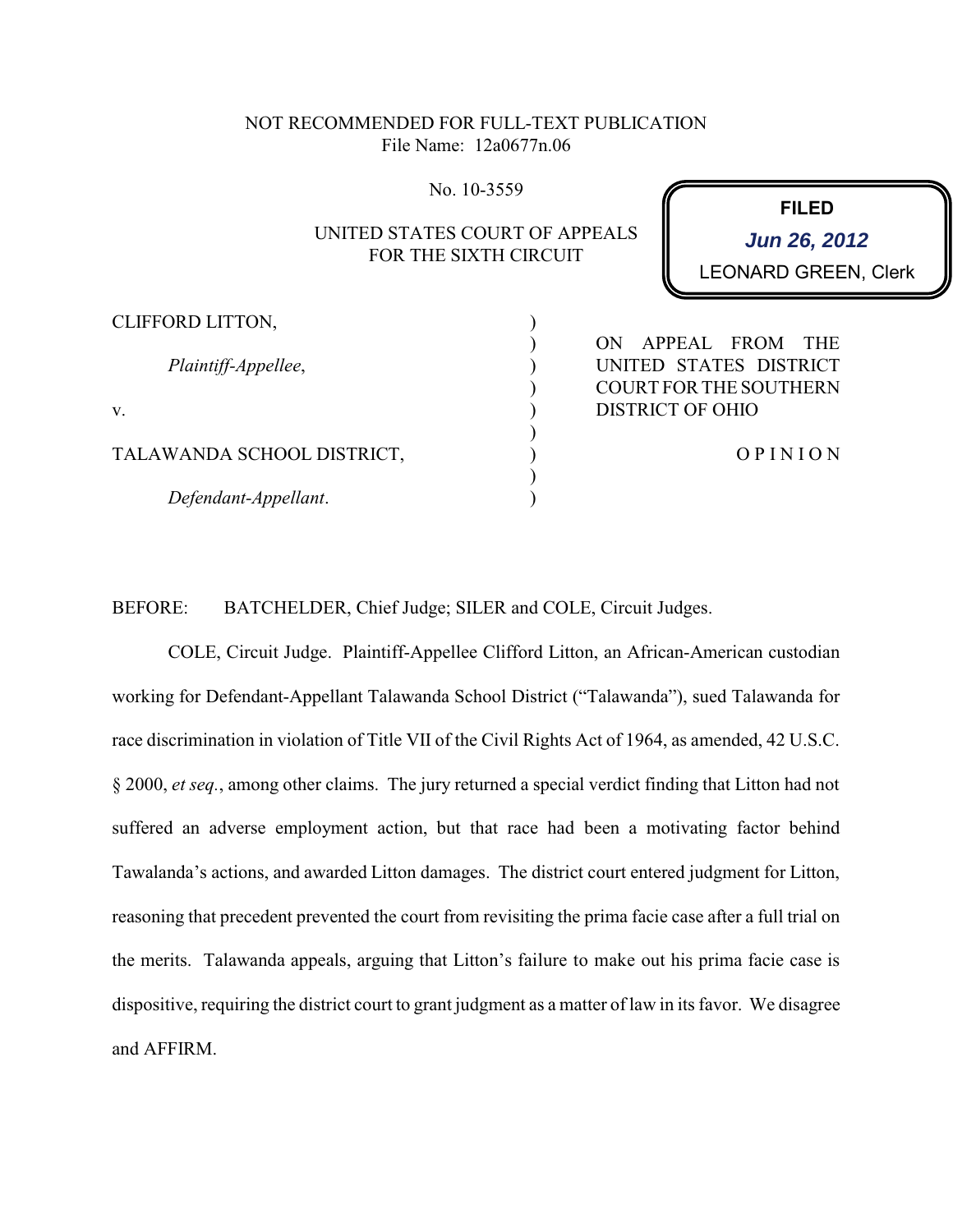# NOT RECOMMENDED FOR FULL-TEXT PUBLICATION File Name: 12a0677n.06

No. 10-3559

# UNITED STATES COURT OF APPEALS FOR THE SIXTH CIRCUIT

) ) ) ) ) ) ) ) ) **FILED**

LEONARD GREEN, Clerk **Jun 26, 2012**

CLIFFORD LITTON,

*Plaintiff-Appellee*,

v.

TALAWANDA SCHOOL DISTRICT,

*Defendant-Appellant*.

ON APPEAL FROM THE UNITED STATES DISTRICT COURT FOR THE SOUTHERN DISTRICT OF OHIO

O P I N I O N

BEFORE: BATCHELDER, Chief Judge; SILER and COLE, Circuit Judges.

COLE, Circuit Judge. Plaintiff-Appellee Clifford Litton, an African-American custodian working for Defendant-Appellant Talawanda School District ("Talawanda"), sued Talawanda for race discrimination in violation of Title VII of the Civil Rights Act of 1964, as amended, 42 U.S.C. § 2000, *et seq.*, among other claims. The jury returned a special verdict finding that Litton had not suffered an adverse employment action, but that race had been a motivating factor behind Tawalanda's actions, and awarded Litton damages. The district court entered judgment for Litton, reasoning that precedent prevented the court from revisiting the prima facie case after a full trial on the merits. Talawanda appeals, arguing that Litton's failure to make out his prima facie case is dispositive, requiring the district court to grant judgment as a matter of law in its favor. We disagree and AFFIRM.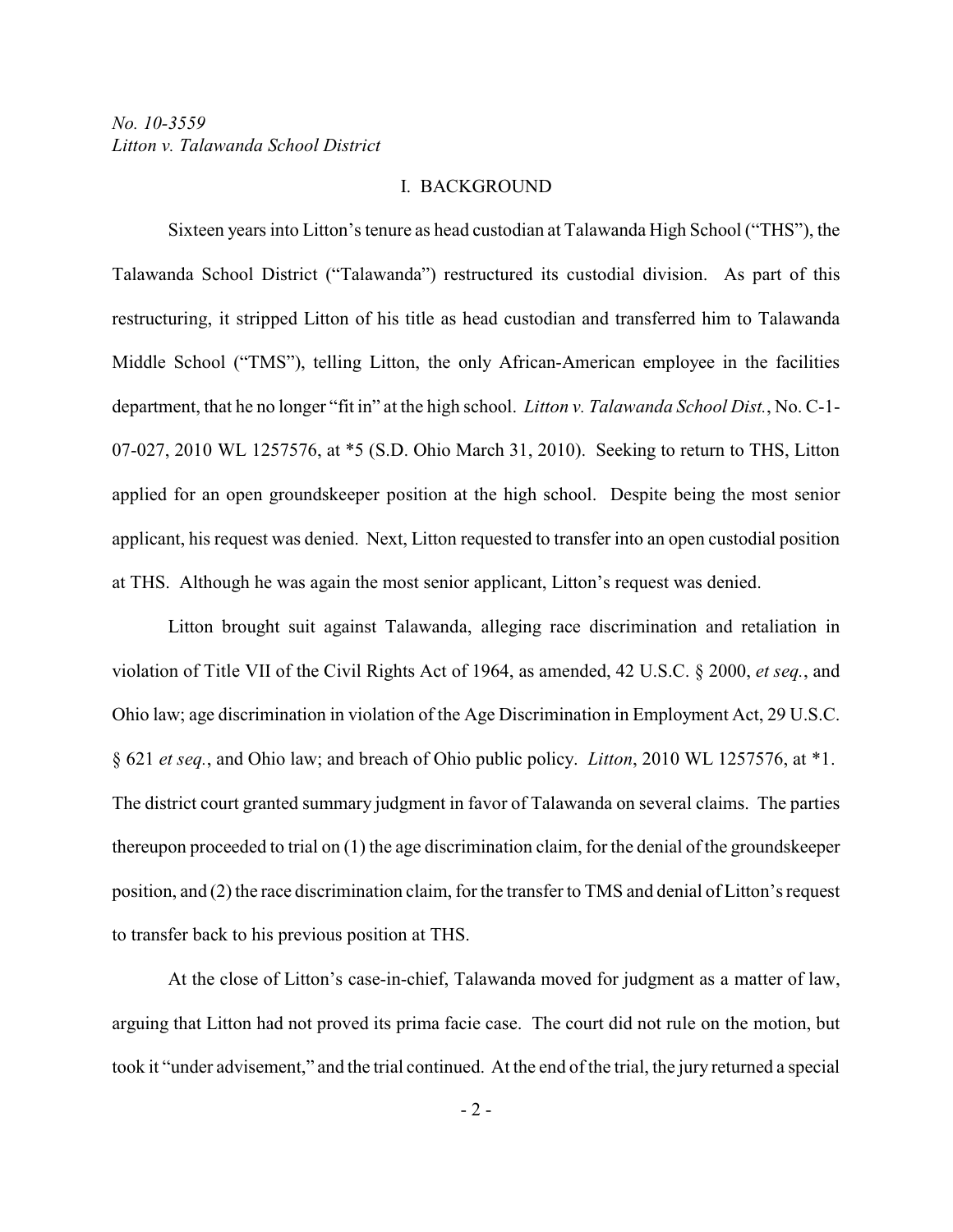#### I. BACKGROUND

Sixteen years into Litton's tenure as head custodian at Talawanda High School ("THS"), the Talawanda School District ("Talawanda") restructured its custodial division. As part of this restructuring, it stripped Litton of his title as head custodian and transferred him to Talawanda Middle School ("TMS"), telling Litton, the only African-American employee in the facilities department, that he no longer "fit in" at the high school. *Litton v. Talawanda School Dist.*, No. C-1- 07-027, 2010 WL 1257576, at \*5 (S.D. Ohio March 31, 2010). Seeking to return to THS, Litton applied for an open groundskeeper position at the high school. Despite being the most senior applicant, his request was denied. Next, Litton requested to transfer into an open custodial position at THS. Although he was again the most senior applicant, Litton's request was denied.

Litton brought suit against Talawanda, alleging race discrimination and retaliation in violation of Title VII of the Civil Rights Act of 1964, as amended, 42 U.S.C. § 2000, *et seq.*, and Ohio law; age discrimination in violation of the Age Discrimination in Employment Act, 29 U.S.C. § 621 *et seq.*, and Ohio law; and breach of Ohio public policy. *Litton*, 2010 WL 1257576, at \*1. The district court granted summary judgment in favor of Talawanda on several claims. The parties thereupon proceeded to trial on (1) the age discrimination claim, for the denial of the groundskeeper position, and (2) the race discrimination claim, for the transfer to TMS and denial of Litton's request to transfer back to his previous position at THS.

At the close of Litton's case-in-chief, Talawanda moved for judgment as a matter of law, arguing that Litton had not proved its prima facie case. The court did not rule on the motion, but took it "under advisement," and the trial continued. At the end of the trial, the jury returned a special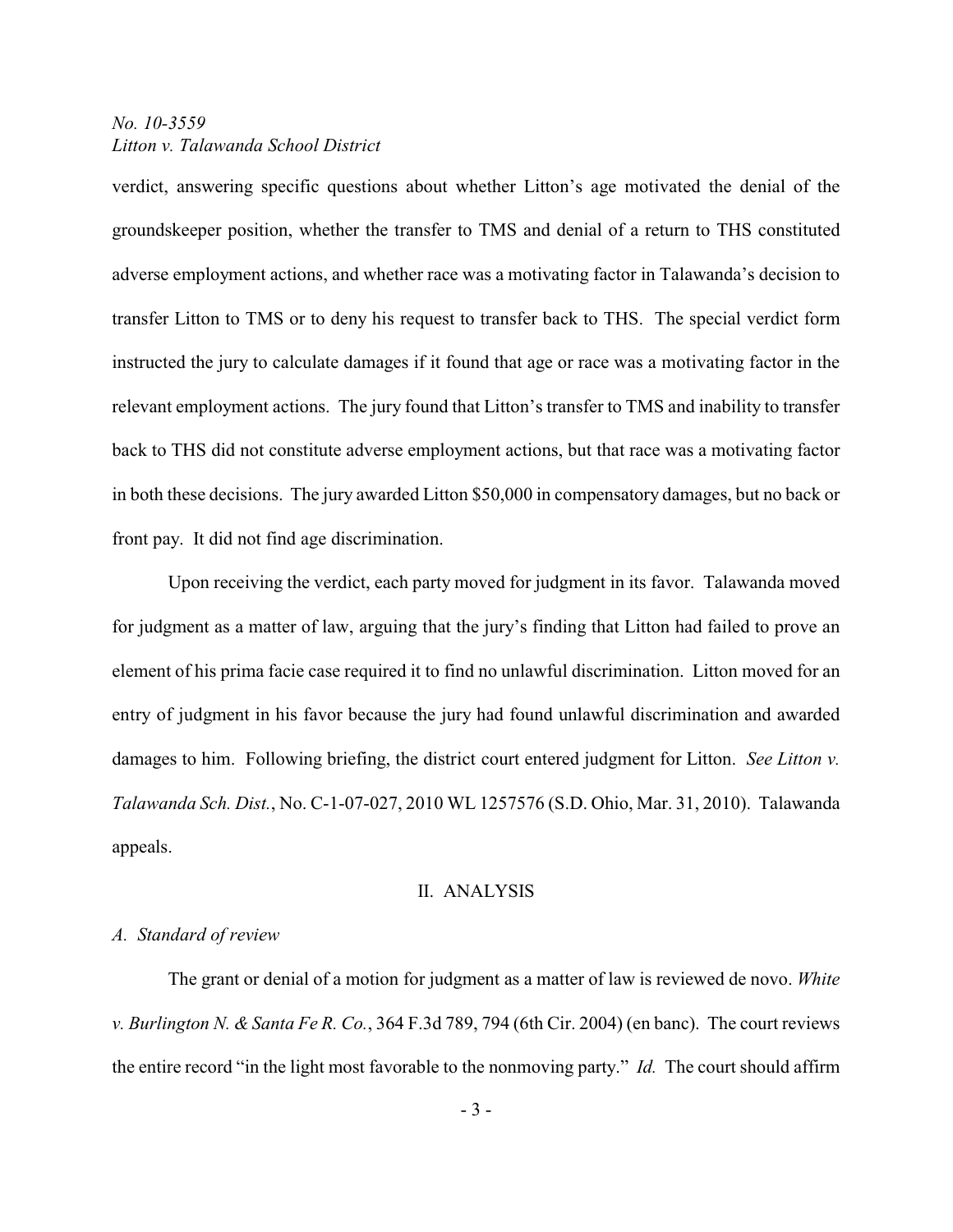verdict, answering specific questions about whether Litton's age motivated the denial of the groundskeeper position, whether the transfer to TMS and denial of a return to THS constituted adverse employment actions, and whether race was a motivating factor in Talawanda's decision to transfer Litton to TMS or to deny his request to transfer back to THS. The special verdict form instructed the jury to calculate damages if it found that age or race was a motivating factor in the relevant employment actions. The jury found that Litton's transfer to TMS and inability to transfer back to THS did not constitute adverse employment actions, but that race was a motivating factor in both these decisions. The jury awarded Litton \$50,000 in compensatory damages, but no back or front pay. It did not find age discrimination.

Upon receiving the verdict, each party moved for judgment in its favor. Talawanda moved for judgment as a matter of law, arguing that the jury's finding that Litton had failed to prove an element of his prima facie case required it to find no unlawful discrimination. Litton moved for an entry of judgment in his favor because the jury had found unlawful discrimination and awarded damages to him. Following briefing, the district court entered judgment for Litton. *See Litton v. Talawanda Sch. Dist.*, No. C-1-07-027, 2010 WL 1257576 (S.D. Ohio, Mar. 31, 2010). Talawanda appeals.

#### II. ANALYSIS

#### *A. Standard of review*

The grant or denial of a motion for judgment as a matter of law is reviewed de novo. *White v. Burlington N. & Santa Fe R. Co.*, 364 F.3d 789, 794 (6th Cir. 2004) (en banc). The court reviews the entire record "in the light most favorable to the nonmoving party." *Id.* The court should affirm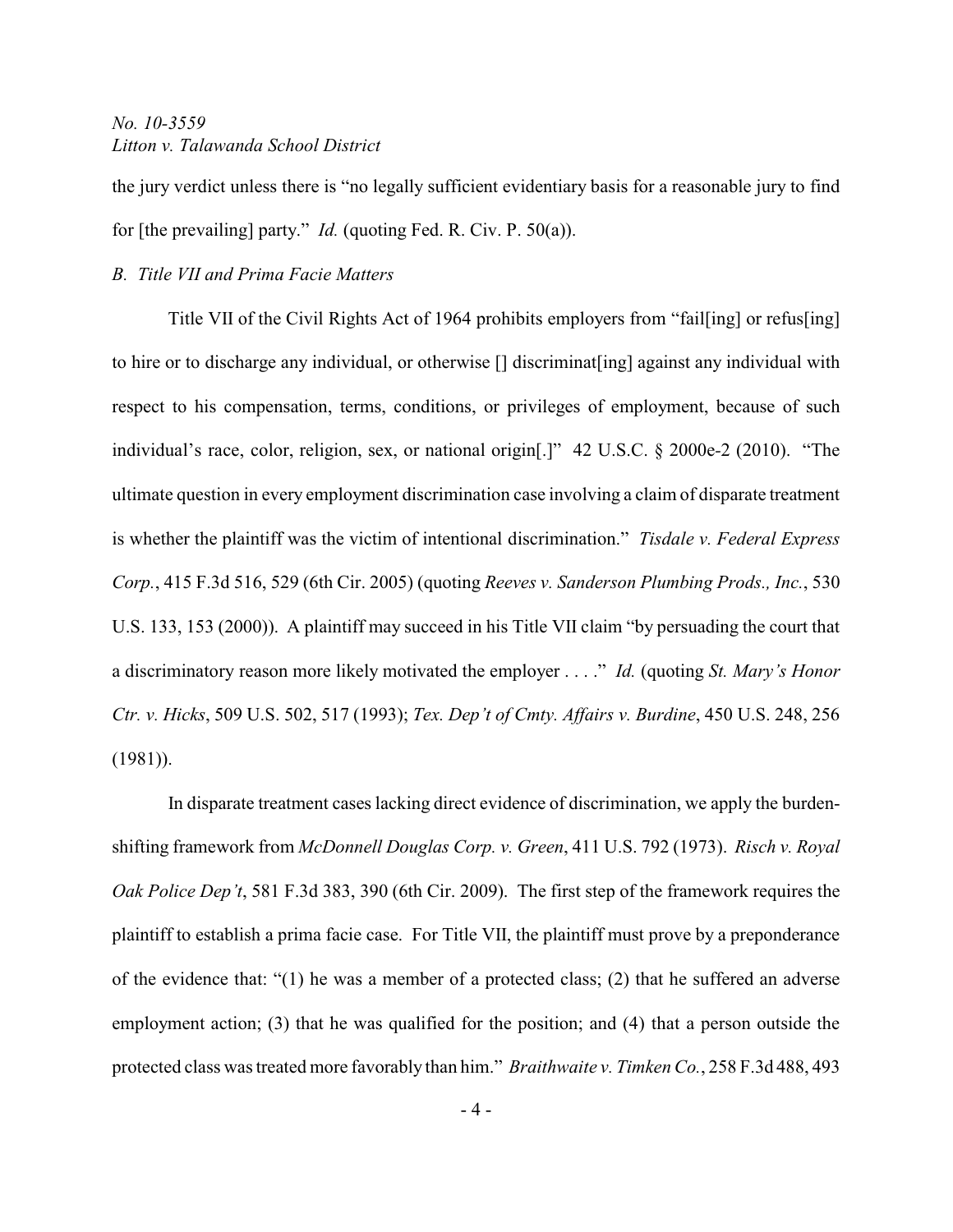the jury verdict unless there is "no legally sufficient evidentiary basis for a reasonable jury to find for [the prevailing] party." *Id.* (quoting Fed. R. Civ. P. 50(a)).

## *B. Title VII and Prima Facie Matters*

Title VII of the Civil Rights Act of 1964 prohibits employers from "fail[ing] or refus[ing] to hire or to discharge any individual, or otherwise [] discriminat[ing] against any individual with respect to his compensation, terms, conditions, or privileges of employment, because of such individual's race, color, religion, sex, or national origin[.]" 42 U.S.C. § 2000e*-*2 (2010). "The ultimate question in every employment discrimination case involving a claim of disparate treatment is whether the plaintiff was the victim of intentional discrimination." *Tisdale v. Federal Express Corp.*, 415 F.3d 516, 529 (6th Cir. 2005) (quoting *Reeves v. Sanderson Plumbing Prods., Inc.*, 530 U.S. 133, 153 (2000)). A plaintiff may succeed in his Title VII claim "by persuading the court that a discriminatory reason more likely motivated the employer . . . ." *Id.* (quoting *St. Mary's Honor Ctr. v. Hicks*, 509 U.S. 502, 517 (1993); *Tex. Dep't of Cmty. Affairs v. Burdine*, 450 U.S. 248, 256 (1981)).

In disparate treatment cases lacking direct evidence of discrimination, we apply the burdenshifting framework from *McDonnell Douglas Corp. v. Green*, 411 U.S. 792 (1973). *Risch v. Royal Oak Police Dep't*, 581 F.3d 383, 390 (6th Cir. 2009). The first step of the framework requires the plaintiff to establish a prima facie case. For Title VII, the plaintiff must prove by a preponderance of the evidence that: "(1) he was a member of a protected class; (2) that he suffered an adverse employment action; (3) that he was qualified for the position; and (4) that a person outside the protected class was treated more favorably than him." *Braithwaite v. Timken Co.*, 258 F.3d 488, 493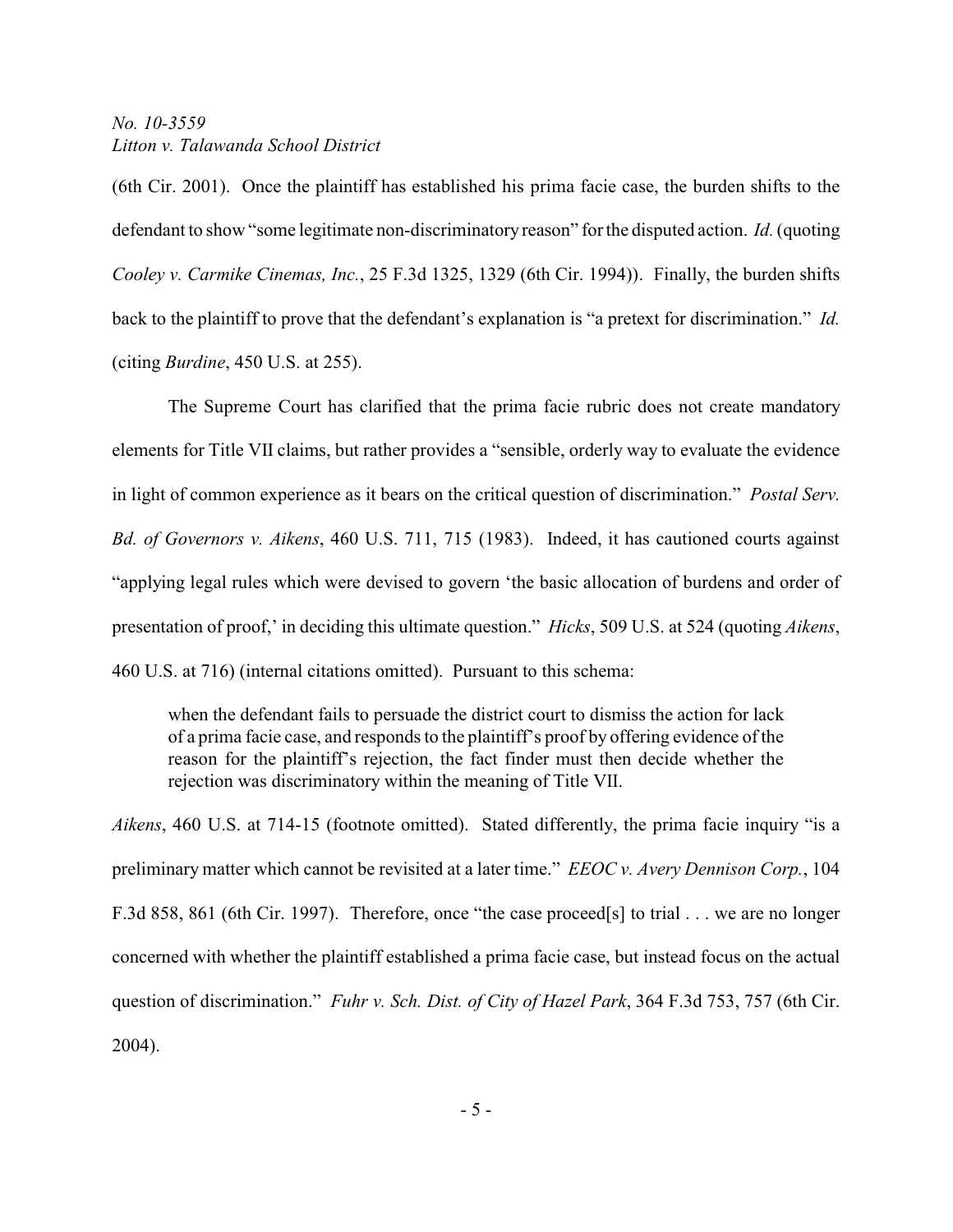(6th Cir. 2001). Once the plaintiff has established his prima facie case, the burden shifts to the defendant to show "some legitimate non-discriminatoryreason" for the disputed action. *Id.*(quoting *Cooley v. Carmike Cinemas, Inc.*, 25 F.3d 1325, 1329 (6th Cir. 1994)). Finally, the burden shifts back to the plaintiff to prove that the defendant's explanation is "a pretext for discrimination." *Id.* (citing *Burdine*, 450 U.S. at 255).

The Supreme Court has clarified that the prima facie rubric does not create mandatory elements for Title VII claims, but rather provides a "sensible, orderly way to evaluate the evidence in light of common experience as it bears on the critical question of discrimination." *Postal Serv. Bd. of Governors v. Aikens*, 460 U.S. 711, 715 (1983). Indeed, it has cautioned courts against "applying legal rules which were devised to govern 'the basic allocation of burdens and order of presentation of proof,' in deciding this ultimate question." *Hicks*, 509 U.S. at 524 (quoting *Aikens*, 460 U.S. at 716) (internal citations omitted). Pursuant to this schema:

when the defendant fails to persuade the district court to dismiss the action for lack of a prima facie case, and responds to the plaintiff's proof by offering evidence of the reason for the plaintiff's rejection, the fact finder must then decide whether the rejection was discriminatory within the meaning of Title VII.

*Aikens*, 460 U.S. at 714-15 (footnote omitted). Stated differently, the prima facie inquiry "is a preliminary matter which cannot be revisited at a later time." *EEOC v. Avery Dennison Corp.*, 104 F.3d 858, 861 (6th Cir. 1997). Therefore, once "the case proceed[s] to trial . . . we are no longer concerned with whether the plaintiff established a prima facie case, but instead focus on the actual question of discrimination." *Fuhr v. Sch. Dist. of City of Hazel Park*, 364 F.3d 753, 757 (6th Cir. 2004).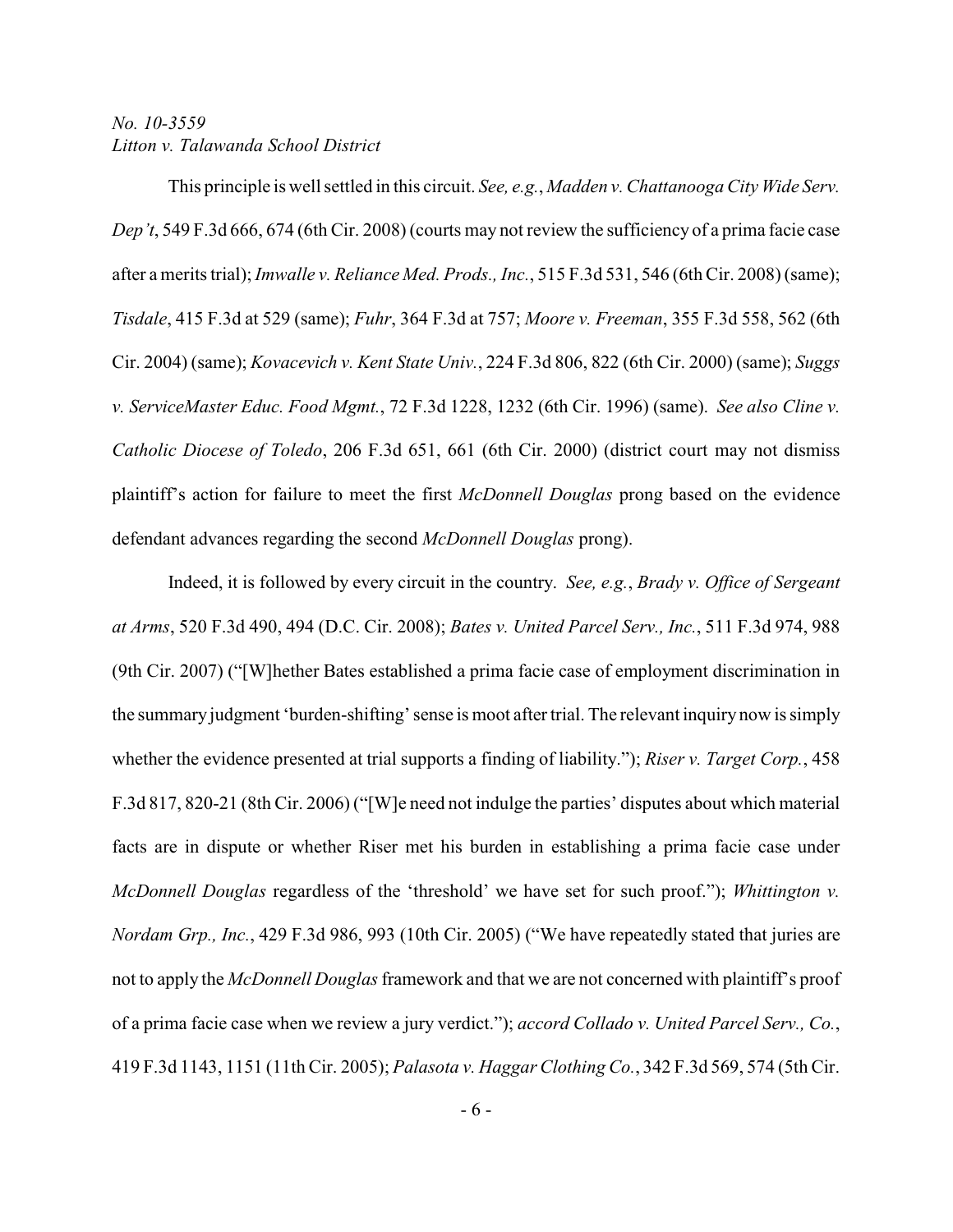This principle is well settled in this circuit. *See, e.g.*, *Madden v. Chattanooga City Wide Serv. Dep't*, 549 F.3d 666, 674 (6th Cir. 2008) (courts may not review the sufficiency of a prima facie case after a merits trial); *Imwalle v. Reliance Med. Prods., Inc.*, 515 F.3d 531, 546 (6th Cir. 2008) (same); *Tisdale*, 415 F.3d at 529 (same); *Fuhr*, 364 F.3d at 757; *Moore v. Freeman*, 355 F.3d 558, 562 (6th Cir. 2004) (same); *Kovacevich v. Kent State Univ.*, 224 F.3d 806, 822 (6th Cir. 2000) (same); *Suggs v. ServiceMaster Educ. Food Mgmt.*, 72 F.3d 1228, 1232 (6th Cir. 1996) (same). *See also Cline v. Catholic Diocese of Toledo*, 206 F.3d 651, 661 (6th Cir. 2000) (district court may not dismiss plaintiff's action for failure to meet the first *McDonnell Douglas* prong based on the evidence defendant advances regarding the second *McDonnell Douglas* prong).

Indeed, it is followed by every circuit in the country. *See, e.g.*, *Brady v. Office of Sergeant at Arms*, 520 F.3d 490, 494 (D.C. Cir. 2008); *Bates v. United Parcel Serv., Inc.*, 511 F.3d 974, 988 (9th Cir. 2007) ("[W]hether Bates established a prima facie case of employment discrimination in the summary judgment 'burden-shifting' sense is moot after trial. The relevant inquiry now is simply whether the evidence presented at trial supports a finding of liability."); *Riser v. Target Corp.*, 458 F.3d 817, 820-21 (8th Cir. 2006) ("[W]e need not indulge the parties' disputes about which material facts are in dispute or whether Riser met his burden in establishing a prima facie case under *McDonnell Douglas* regardless of the 'threshold' we have set for such proof."); *Whittington v. Nordam Grp., Inc.*, 429 F.3d 986, 993 (10th Cir. 2005) ("We have repeatedly stated that juries are not to apply the *McDonnell Douglas* framework and that we are not concerned with plaintiff's proof of a prima facie case when we review a jury verdict."); *accord Collado v. United Parcel Serv., Co.*, 419 F.3d 1143, 1151 (11th Cir. 2005); *Palasota v. Haggar Clothing Co.*, 342 F.3d 569, 574 (5th Cir.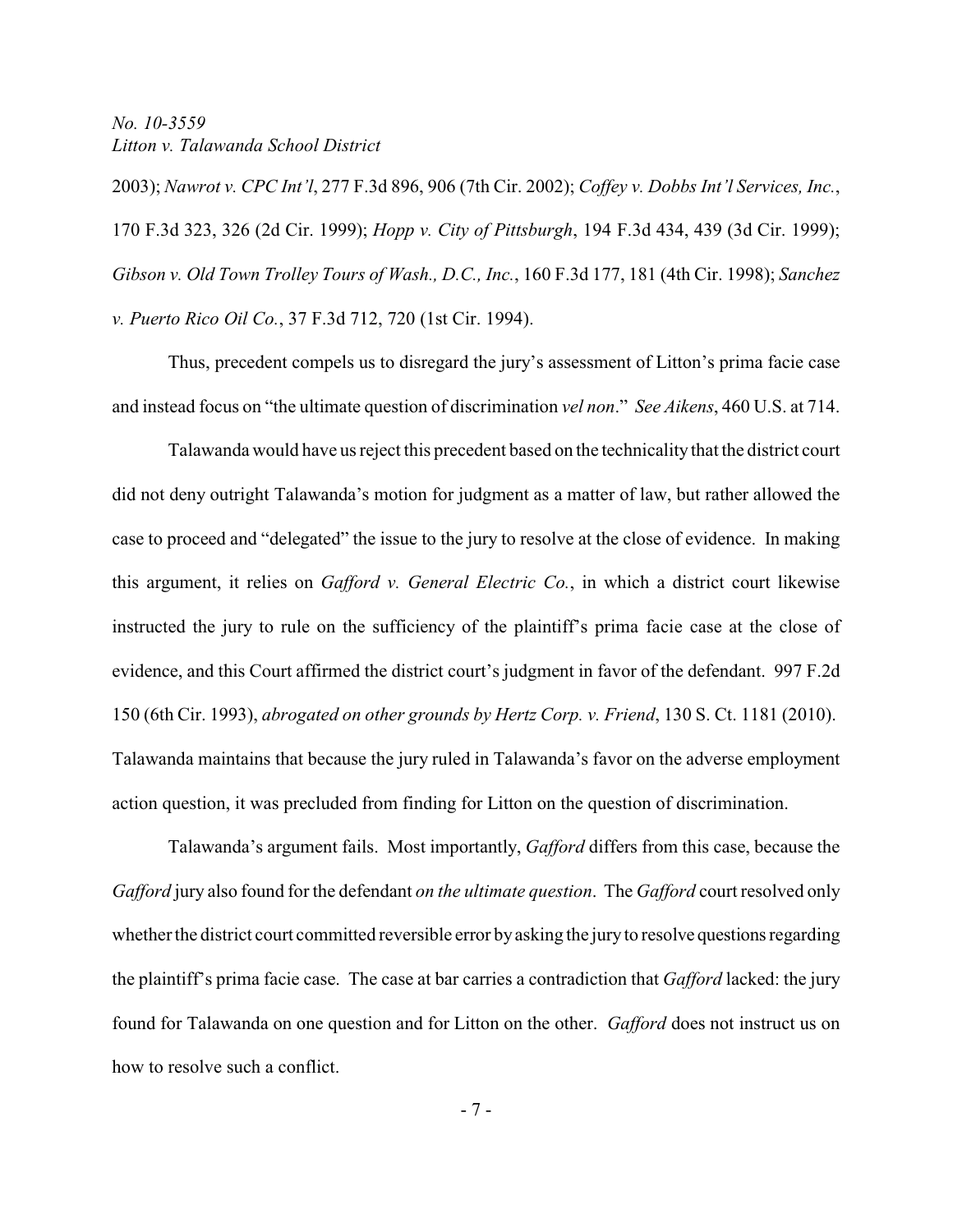2003); *Nawrot v. CPC Int'l*, 277 F.3d 896, 906 (7th Cir. 2002); *Coffey v. Dobbs Int'l Services, Inc.*, 170 F.3d 323, 326 (2d Cir. 1999); *Hopp v. City of Pittsburgh*, 194 F.3d 434, 439 (3d Cir. 1999); *Gibson v. Old Town Trolley Tours of Wash., D.C., Inc.*, 160 F.3d 177, 181 (4th Cir. 1998); *Sanchez v. Puerto Rico Oil Co.*, 37 F.3d 712, 720 (1st Cir. 1994).

Thus, precedent compels us to disregard the jury's assessment of Litton's prima facie case and instead focus on "the ultimate question of discrimination *vel non*." *See Aikens*, 460 U.S. at 714.

Talawanda would have us reject this precedent based on the technicalitythat the district court did not deny outright Talawanda's motion for judgment as a matter of law, but rather allowed the case to proceed and "delegated" the issue to the jury to resolve at the close of evidence. In making this argument, it relies on *Gafford v. General Electric Co.*, in which a district court likewise instructed the jury to rule on the sufficiency of the plaintiff's prima facie case at the close of evidence, and this Court affirmed the district court's judgment in favor of the defendant. 997 F.2d 150 (6th Cir. 1993), *abrogated on other grounds by Hertz Corp. v. Friend*, 130 S. Ct. 1181 (2010). Talawanda maintains that because the jury ruled in Talawanda's favor on the adverse employment action question, it was precluded from finding for Litton on the question of discrimination.

Talawanda's argument fails. Most importantly, *Gafford* differs from this case, because the *Gafford* jury also found for the defendant *on the ultimate question*. The *Gafford* court resolved only whether the district court committed reversible error by asking the jury to resolve questions regarding the plaintiff's prima facie case. The case at bar carries a contradiction that *Gafford* lacked: the jury found for Talawanda on one question and for Litton on the other. *Gafford* does not instruct us on how to resolve such a conflict.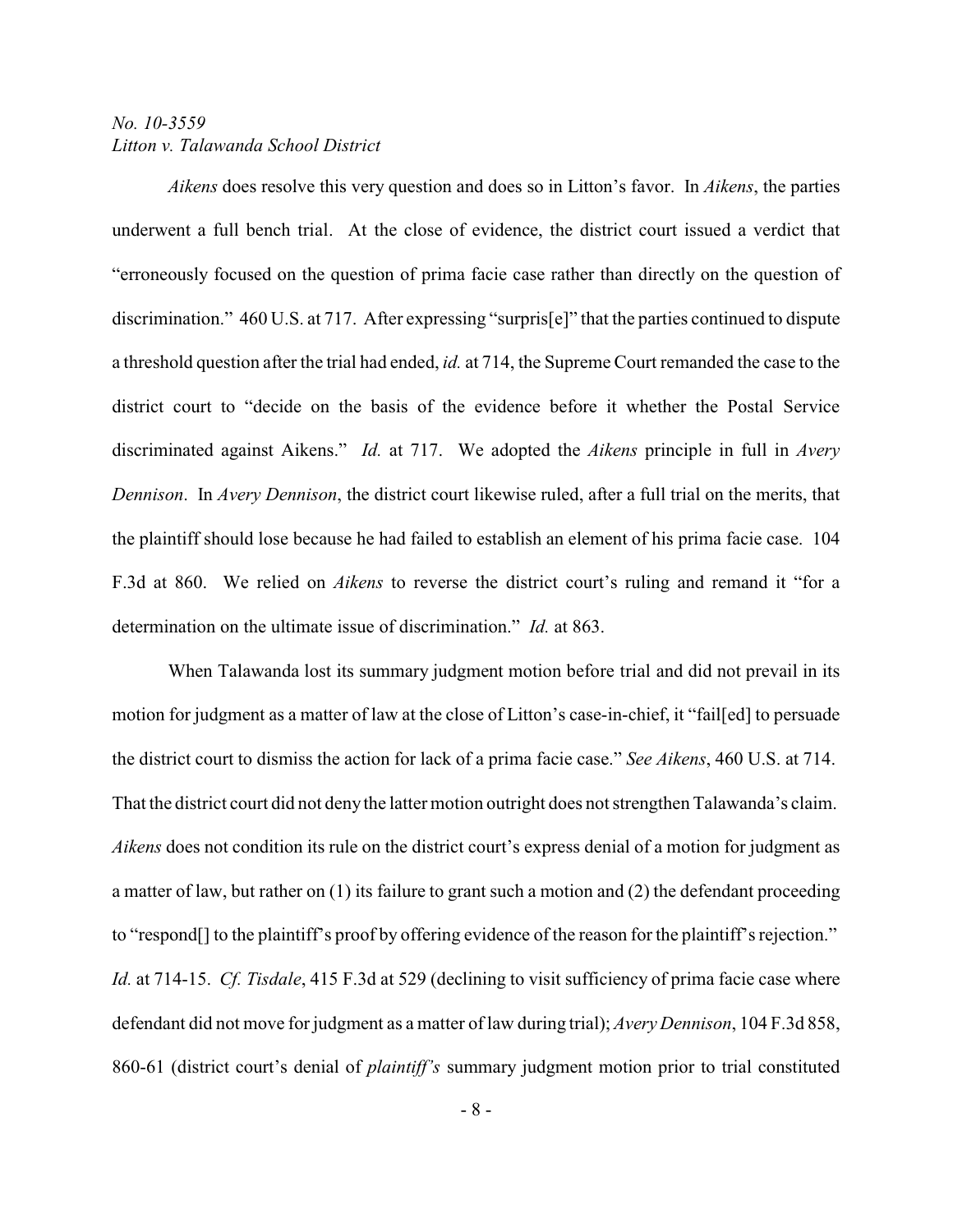*Aikens* does resolve this very question and does so in Litton's favor. In *Aikens*, the parties underwent a full bench trial. At the close of evidence, the district court issued a verdict that "erroneously focused on the question of prima facie case rather than directly on the question of discrimination." 460 U.S. at 717. After expressing "surpris[e]" that the parties continued to dispute a threshold question after the trial had ended, *id.* at 714, the Supreme Court remanded the case to the district court to "decide on the basis of the evidence before it whether the Postal Service discriminated against Aikens." *Id.* at 717. We adopted the *Aikens* principle in full in *Avery Dennison*. In *Avery Dennison*, the district court likewise ruled, after a full trial on the merits, that the plaintiff should lose because he had failed to establish an element of his prima facie case. 104 F.3d at 860. We relied on *Aikens* to reverse the district court's ruling and remand it "for a determination on the ultimate issue of discrimination." *Id.* at 863.

When Talawanda lost its summary judgment motion before trial and did not prevail in its motion for judgment as a matter of law at the close of Litton's case-in-chief, it "fail[ed] to persuade the district court to dismiss the action for lack of a prima facie case." *See Aikens*, 460 U.S. at 714. That the district court did not denythe latter motion outright does not strengthen Talawanda's claim. *Aikens* does not condition its rule on the district court's express denial of a motion for judgment as a matter of law, but rather on (1) its failure to grant such a motion and (2) the defendant proceeding to "respond[] to the plaintiff's proof by offering evidence of the reason for the plaintiff's rejection." *Id.* at 714-15. *Cf. Tisdale*, 415 F.3d at 529 (declining to visit sufficiency of prima facie case where defendant did not move for judgment as a matter of law during trial); *Avery Dennison*, 104 F.3d 858, 860-61 (district court's denial of *plaintiff's* summary judgment motion prior to trial constituted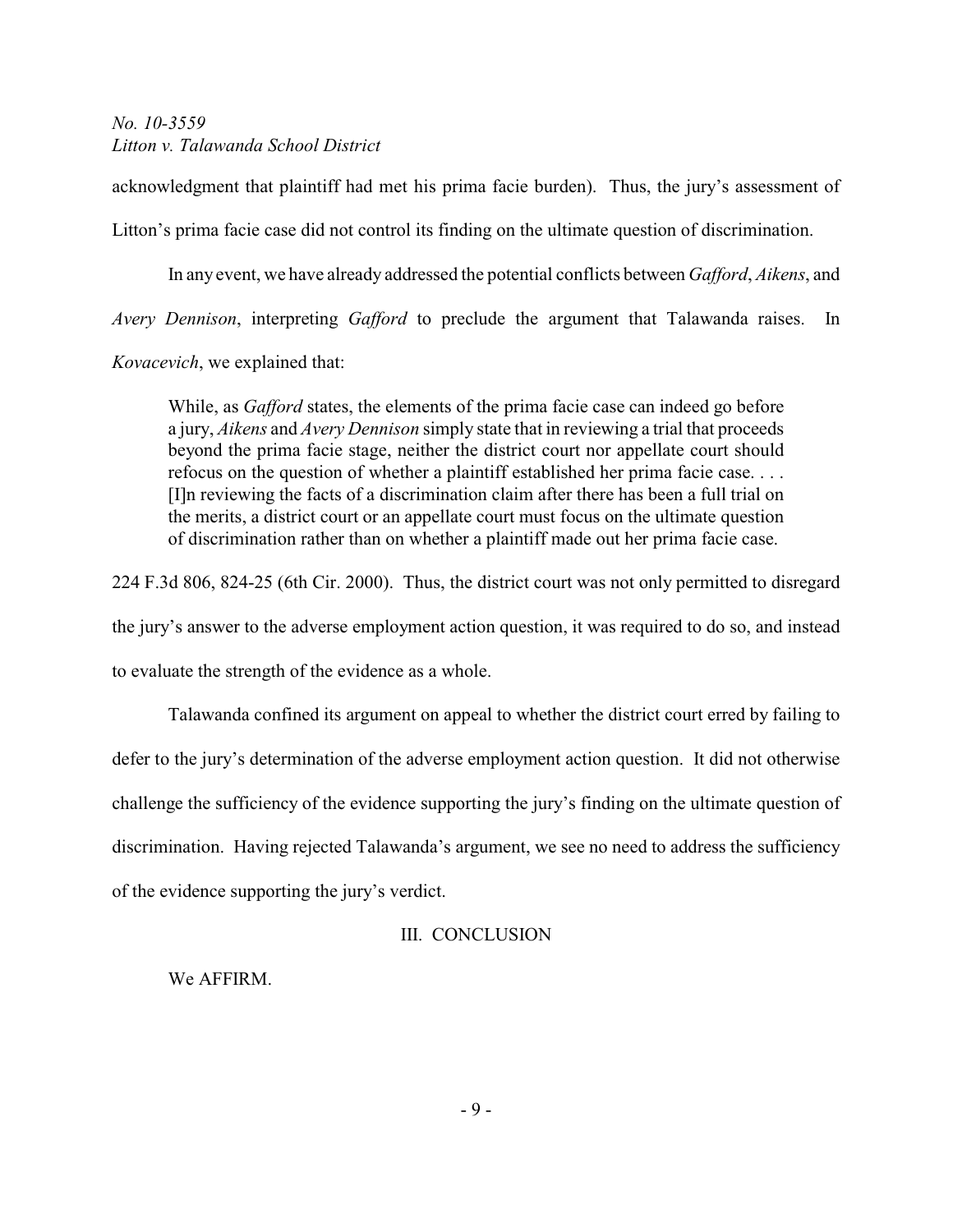acknowledgment that plaintiff had met his prima facie burden). Thus, the jury's assessment of Litton's prima facie case did not control its finding on the ultimate question of discrimination.

In any event, we have already addressed the potential conflicts between *Gafford*, *Aikens*, and

*Avery Dennison*, interpreting *Gafford* to preclude the argument that Talawanda raises. In

*Kovacevich*, we explained that:

While, as *Gafford* states, the elements of the prima facie case can indeed go before a jury, *Aikens* and *Avery Dennison* simply state that in reviewing a trial that proceeds beyond the prima facie stage, neither the district court nor appellate court should refocus on the question of whether a plaintiff established her prima facie case. . . . [I]n reviewing the facts of a discrimination claim after there has been a full trial on the merits, a district court or an appellate court must focus on the ultimate question of discrimination rather than on whether a plaintiff made out her prima facie case.

224 F.3d 806, 824-25 (6th Cir. 2000). Thus, the district court was not only permitted to disregard the jury's answer to the adverse employment action question, it was required to do so, and instead to evaluate the strength of the evidence as a whole.

Talawanda confined its argument on appeal to whether the district court erred by failing to defer to the jury's determination of the adverse employment action question. It did not otherwise challenge the sufficiency of the evidence supporting the jury's finding on the ultimate question of discrimination. Having rejected Talawanda's argument, we see no need to address the sufficiency of the evidence supporting the jury's verdict.

# III. CONCLUSION

We AFFIRM.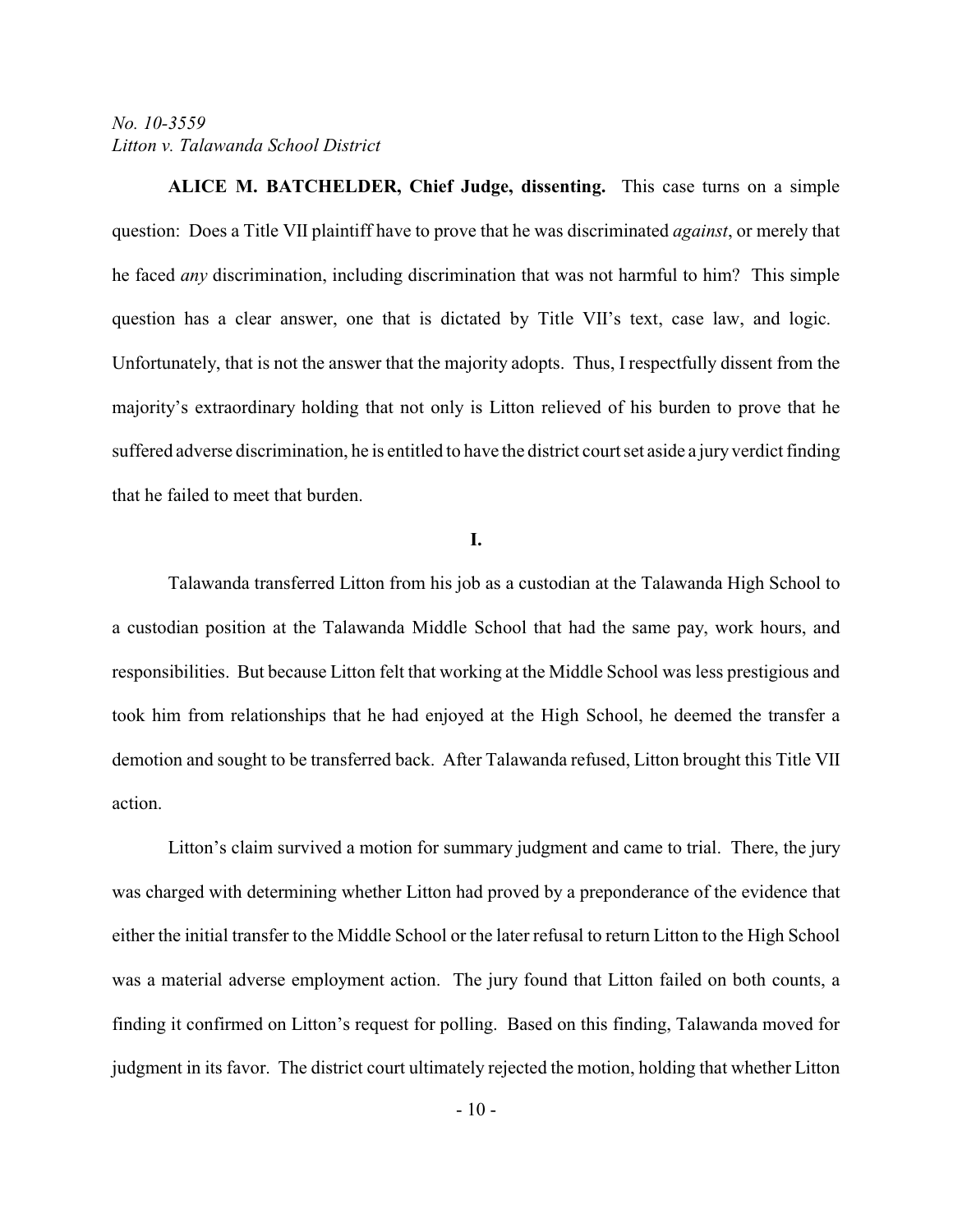**ALICE M. BATCHELDER, Chief Judge, dissenting.** This case turns on a simple question: Does a Title VII plaintiff have to prove that he was discriminated *against*, or merely that he faced *any* discrimination, including discrimination that was not harmful to him? This simple question has a clear answer, one that is dictated by Title VII's text, case law, and logic. Unfortunately, that is not the answer that the majority adopts. Thus, I respectfully dissent from the majority's extraordinary holding that not only is Litton relieved of his burden to prove that he suffered adverse discrimination, he is entitled to have the district court set aside a jury verdict finding that he failed to meet that burden.

#### **I.**

Talawanda transferred Litton from his job as a custodian at the Talawanda High School to a custodian position at the Talawanda Middle School that had the same pay, work hours, and responsibilities. But because Litton felt that working at the Middle School was less prestigious and took him from relationships that he had enjoyed at the High School, he deemed the transfer a demotion and sought to be transferred back. After Talawanda refused, Litton brought this Title VII action.

Litton's claim survived a motion for summary judgment and came to trial. There, the jury was charged with determining whether Litton had proved by a preponderance of the evidence that either the initial transfer to the Middle School or the later refusal to return Litton to the High School was a material adverse employment action. The jury found that Litton failed on both counts, a finding it confirmed on Litton's request for polling. Based on this finding, Talawanda moved for judgment in its favor. The district court ultimately rejected the motion, holding that whether Litton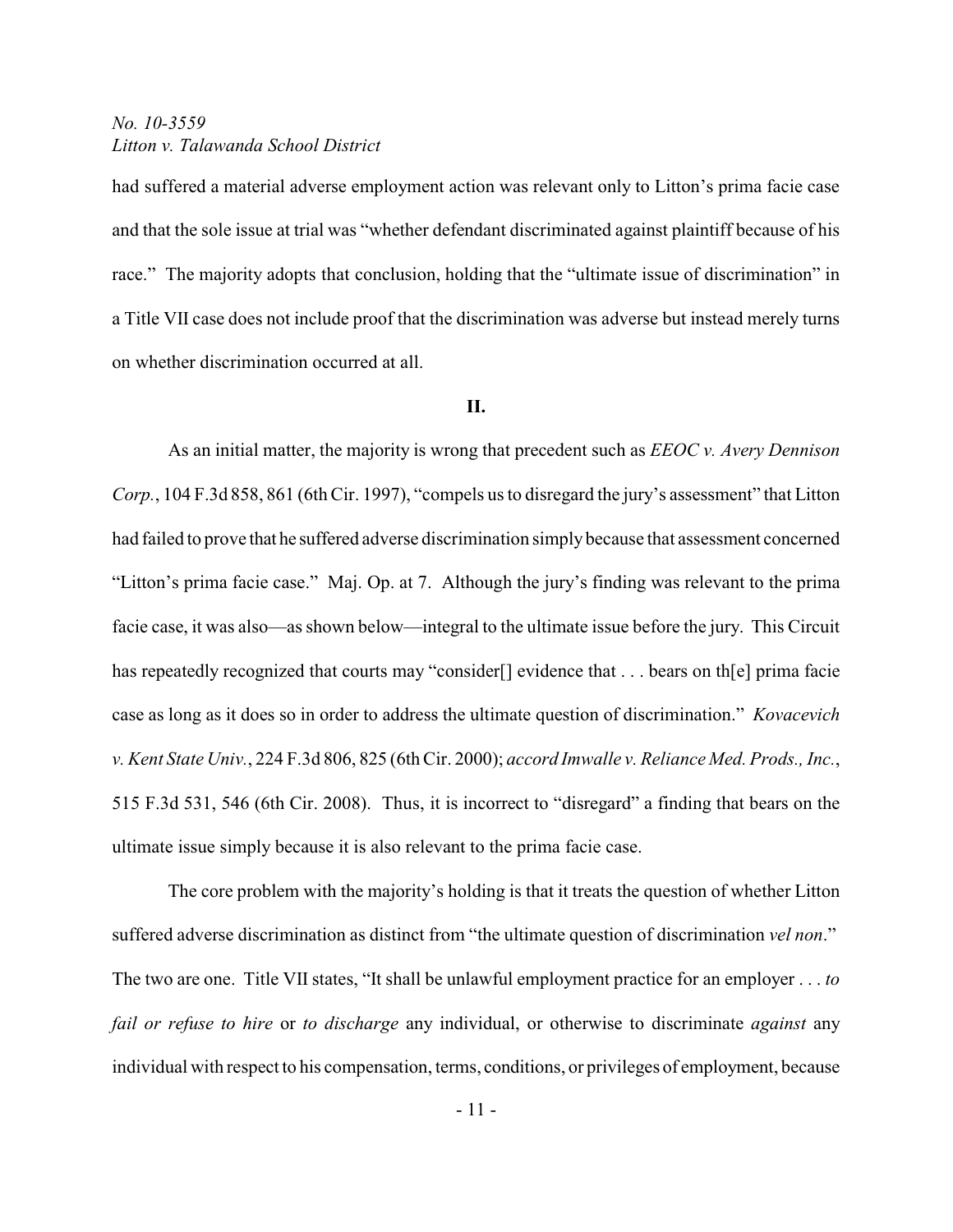had suffered a material adverse employment action was relevant only to Litton's prima facie case and that the sole issue at trial was "whether defendant discriminated against plaintiff because of his race." The majority adopts that conclusion, holding that the "ultimate issue of discrimination" in a Title VII case does not include proof that the discrimination was adverse but instead merely turns on whether discrimination occurred at all.

#### **II.**

As an initial matter, the majority is wrong that precedent such as *EEOC v. Avery Dennison Corp.*, 104 F.3d 858, 861 (6th Cir. 1997), "compels us to disregard the jury's assessment" that Litton had failed to prove that he suffered adverse discrimination simplybecause that assessment concerned "Litton's prima facie case." Maj. Op. at 7. Although the jury's finding was relevant to the prima facie case, it was also—as shown below—integral to the ultimate issue before the jury. This Circuit has repeatedly recognized that courts may "consider<sup>[]</sup> evidence that . . . bears on th<sup>[e]</sup> prima facie case as long as it does so in order to address the ultimate question of discrimination." *Kovacevich v. Kent State Univ.*, 224 F.3d 806, 825 (6th Cir. 2000); *accord Imwalle v. Reliance Med. Prods., Inc.*, 515 F.3d 531, 546 (6th Cir. 2008). Thus, it is incorrect to "disregard" a finding that bears on the ultimate issue simply because it is also relevant to the prima facie case.

The core problem with the majority's holding is that it treats the question of whether Litton suffered adverse discrimination as distinct from "the ultimate question of discrimination *vel non*." The two are one. Title VII states, "It shall be unlawful employment practice for an employer . . . *to fail or refuse to hire* or *to discharge* any individual, or otherwise to discriminate *against* any individual with respect to his compensation, terms, conditions, or privileges of employment, because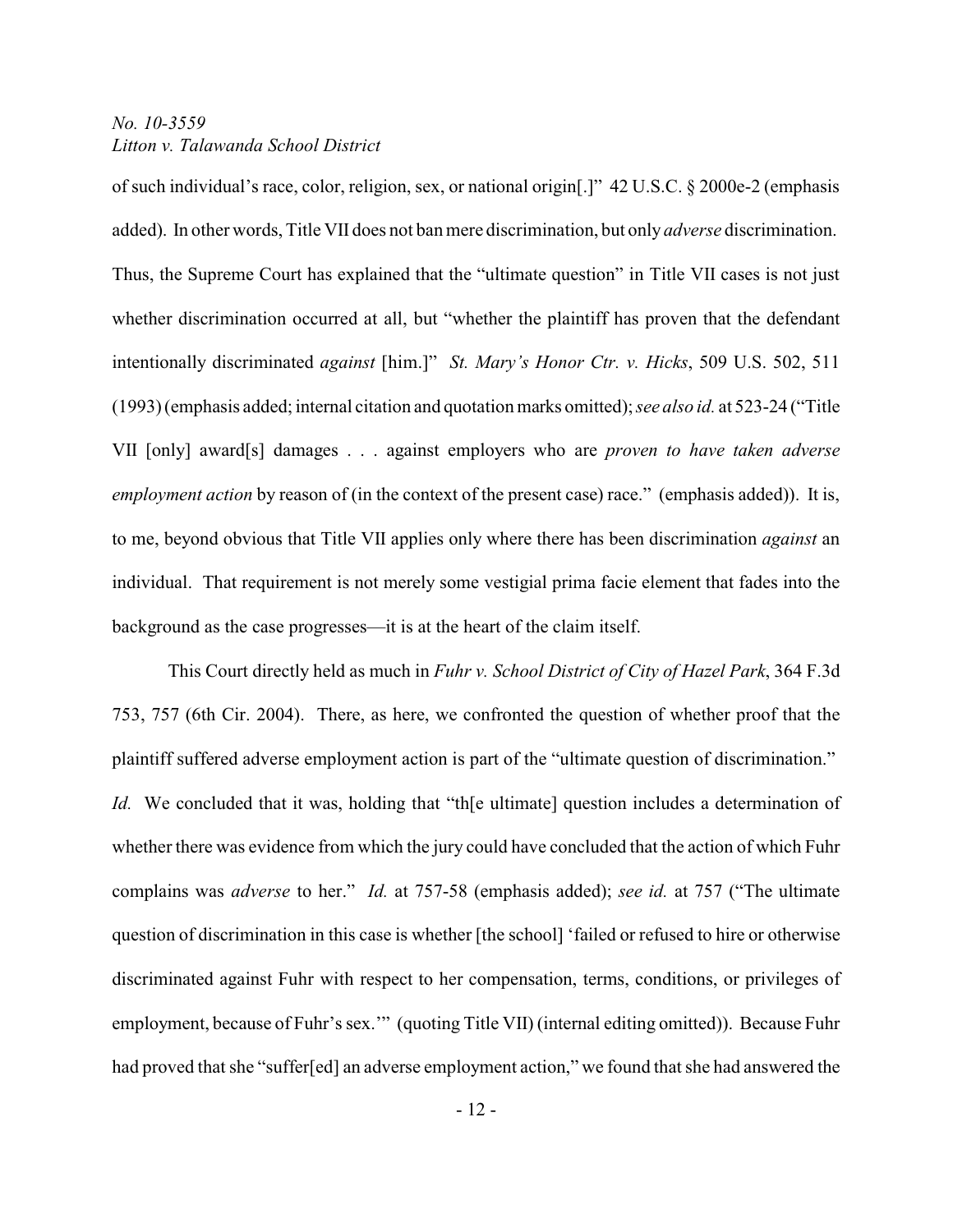of such individual's race, color, religion, sex, or national origin[.]" 42 U.S.C. § 2000e-2 (emphasis added). In other words, Title VII does not ban mere discrimination, but only *adverse* discrimination. Thus, the Supreme Court has explained that the "ultimate question" in Title VII cases is not just whether discrimination occurred at all, but "whether the plaintiff has proven that the defendant intentionally discriminated *against* [him.]" *St. Mary's Honor Ctr. v. Hicks*, 509 U.S. 502, 511 (1993) (emphasis added; internal citation and quotation marks omitted); *see also id.* at 523-24 ("Title VII [only] award[s] damages . . . against employers who are *proven to have taken adverse employment action* by reason of (in the context of the present case) race." (emphasis added)). It is, to me, beyond obvious that Title VII applies only where there has been discrimination *against* an individual. That requirement is not merely some vestigial prima facie element that fades into the background as the case progresses—it is at the heart of the claim itself.

This Court directly held as much in *Fuhr v. School District of City of Hazel Park*, 364 F.3d 753, 757 (6th Cir. 2004). There, as here, we confronted the question of whether proof that the plaintiff suffered adverse employment action is part of the "ultimate question of discrimination." *Id.* We concluded that it was, holding that "the ultimate] question includes a determination of whether there was evidence from which the jury could have concluded that the action of which Fuhr complains was *adverse* to her." *Id.* at 757-58 (emphasis added); *see id.* at 757 ("The ultimate question of discrimination in this case is whether [the school] 'failed or refused to hire or otherwise discriminated against Fuhr with respect to her compensation, terms, conditions, or privileges of employment, because of Fuhr's sex.'" (quoting Title VII) (internal editing omitted)). Because Fuhr had proved that she "suffer[ed] an adverse employment action," we found that she had answered the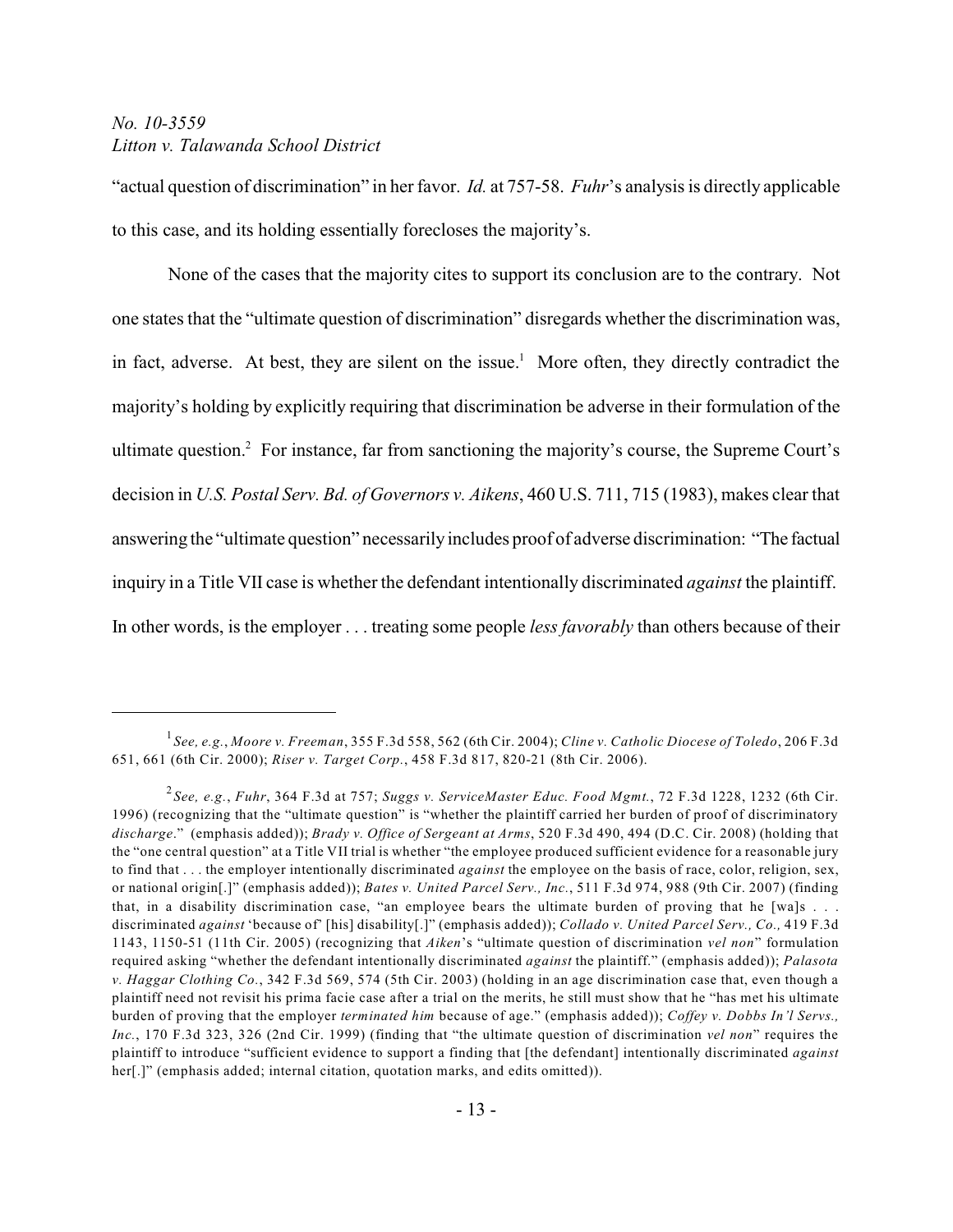"actual question of discrimination" in her favor. *Id.* at 757-58. *Fuhr*'s analysis is directly applicable to this case, and its holding essentially forecloses the majority's.

None of the cases that the majority cites to support its conclusion are to the contrary. Not one states that the "ultimate question of discrimination" disregards whether the discrimination was, in fact, adverse. At best, they are silent on the issue.<sup>1</sup> More often, they directly contradict the majority's holding by explicitly requiring that discrimination be adverse in their formulation of the ultimate question.<sup>2</sup> For instance, far from sanctioning the majority's course, the Supreme Court's decision in *U.S. Postal Serv. Bd. of Governors v. Aikens*, 460 U.S. 711, 715 (1983), makes clear that answering the "ultimate question" necessarily includes proof of adverse discrimination: "The factual inquiry in a Title VII case is whether the defendant intentionally discriminated *against* the plaintiff. In other words, is the employer . . . treating some people *less favorably* than others because of their

*See, e.g.*, *Moore v. Freeman*, 355 F.3d 558, 562 (6th Cir. 2004); *Cline v. Catholic Diocese of Toledo*, 206 F.3d 1 651, 661 (6th Cir. 2000); *Riser v. Target Corp.*, 458 F.3d 817, 820-21 (8th Cir. 2006).

*See, e.g.*, *Fuhr*, 364 F.3d at 757; *Suggs v. ServiceMaster Educ. Food Mgmt.*, 72 F.3d 1228, 1232 (6th Cir. 2 1996) (recognizing that the "ultimate question" is "whether the plaintiff carried her burden of proof of discriminatory *discharge*." (emphasis added)); *Brady v. Office of Sergeant at Arms*, 520 F.3d 490, 494 (D.C. Cir. 2008) (holding that the "one central question" at a Title VII trial is whether "the employee produced sufficient evidence for a reasonable jury to find that . . . the employer intentionally discriminated *against* the employee on the basis of race, color, religion, sex, or national origin[.]" (emphasis added)); *Bates v. United Parcel Serv., Inc.*, 511 F.3d 974, 988 (9th Cir. 2007) (finding that, in a disability discrimination case, "an employee bears the ultimate burden of proving that he [wa]s . . . discriminated *against* 'because of' [his] disability[.]" (emphasis added)); *Collado v. United Parcel Serv., Co.,* 419 F.3d 1143, 1150-51 (11th Cir. 2005) (recognizing that *Aiken*'s "ultimate question of discrimination *vel non*" formulation required asking "whether the defendant intentionally discriminated *against* the plaintiff." (emphasis added)); *Palasota v. Haggar Clothing Co.*, 342 F.3d 569, 574 (5th Cir. 2003) (holding in an age discrimination case that, even though a plaintiff need not revisit his prima facie case after a trial on the merits, he still must show that he "has met his ultimate burden of proving that the employer *terminated him* because of age." (emphasis added)); *Coffey v. Dobbs In'l Servs., Inc.*, 170 F.3d 323, 326 (2nd Cir. 1999) (finding that "the ultimate question of discrimination *vel non*" requires the plaintiff to introduce "sufficient evidence to support a finding that [the defendant] intentionally discriminated *against* her[.]" (emphasis added; internal citation, quotation marks, and edits omitted)).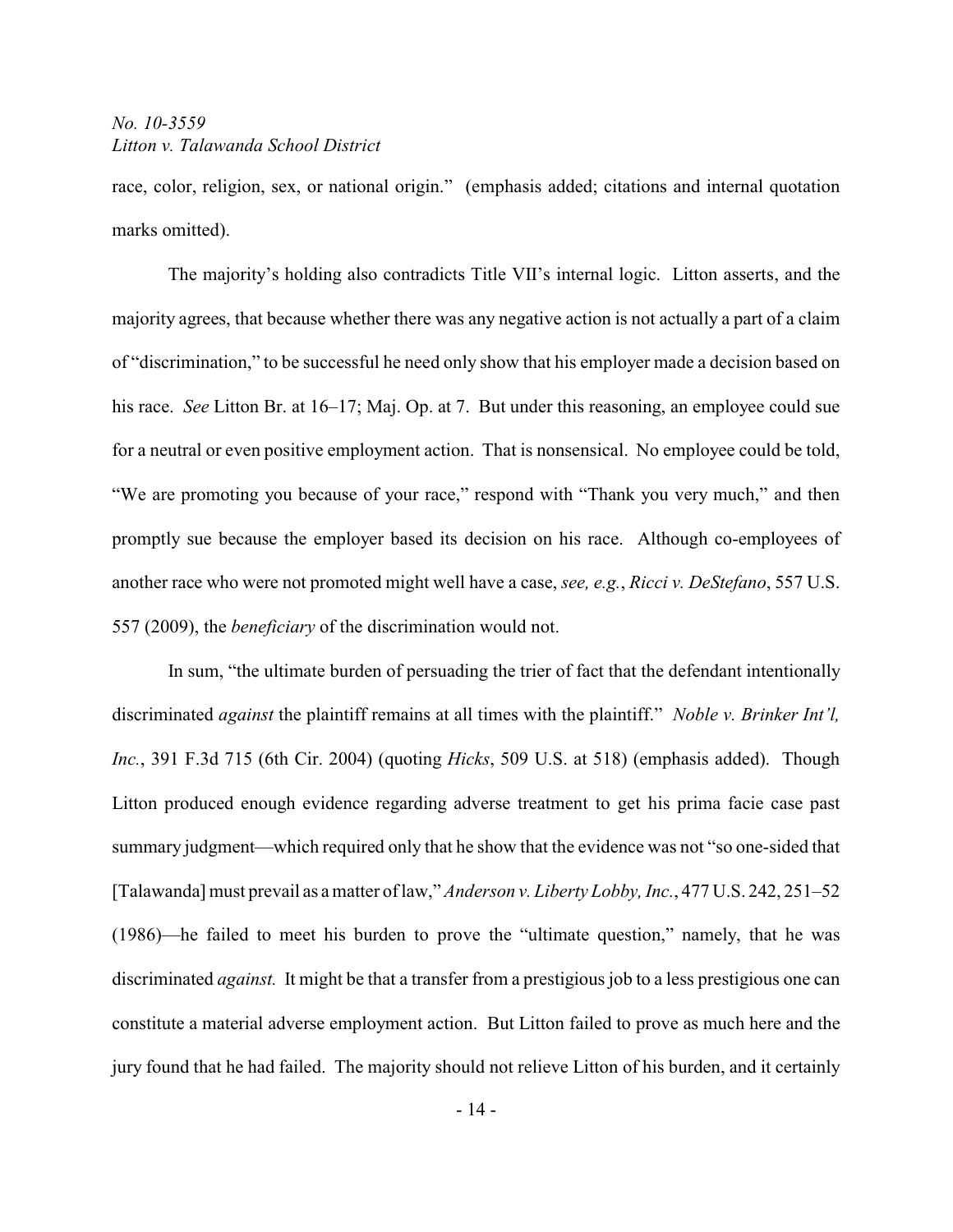race, color, religion, sex, or national origin." (emphasis added; citations and internal quotation marks omitted).

The majority's holding also contradicts Title VII's internal logic. Litton asserts, and the majority agrees, that because whether there was any negative action is not actually a part of a claim of "discrimination," to be successful he need only show that his employer made a decision based on his race. *See* Litton Br. at 16–17; Maj. Op. at 7. But under this reasoning, an employee could sue for a neutral or even positive employment action. That is nonsensical. No employee could be told, "We are promoting you because of your race," respond with "Thank you very much," and then promptly sue because the employer based its decision on his race. Although co-employees of another race who were not promoted might well have a case, *see, e.g.*, *Ricci v. DeStefano*, 557 U.S. 557 (2009), the *beneficiary* of the discrimination would not.

In sum, "the ultimate burden of persuading the trier of fact that the defendant intentionally discriminated *against* the plaintiff remains at all times with the plaintiff." *Noble v. Brinker Int'l, Inc.*, 391 F.3d 715 (6th Cir. 2004) (quoting *Hicks*, 509 U.S. at 518) (emphasis added). Though Litton produced enough evidence regarding adverse treatment to get his prima facie case past summary judgment—which required only that he show that the evidence was not "so one-sided that [Talawanda] must prevail as a matter of law," *Anderson v. Liberty Lobby, Inc.*, 477 U.S. 242, 251–52 (1986)—he failed to meet his burden to prove the "ultimate question," namely, that he was discriminated *against.* It might be that a transfer from a prestigious job to a less prestigious one can constitute a material adverse employment action. But Litton failed to prove as much here and the jury found that he had failed. The majority should not relieve Litton of his burden, and it certainly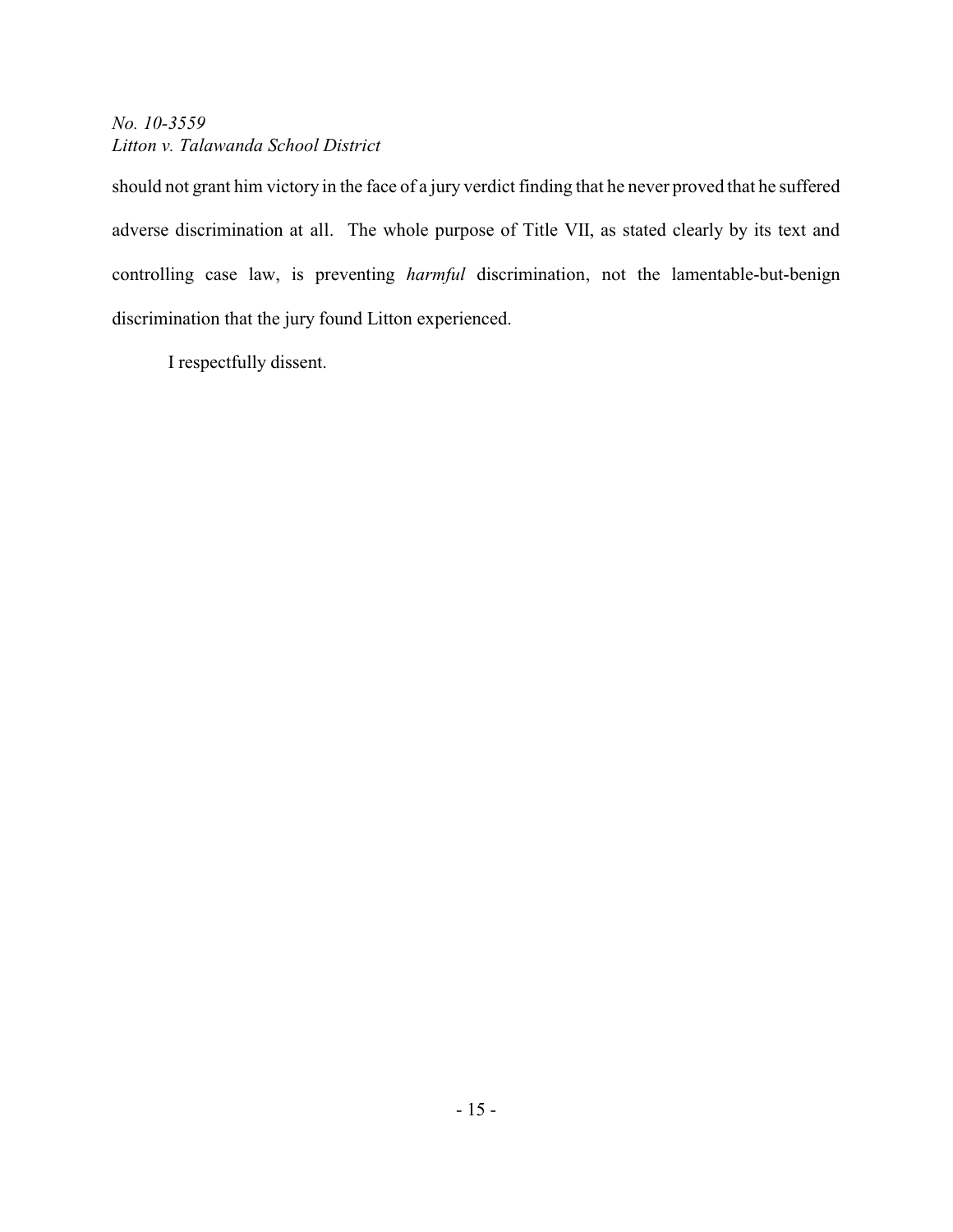should not grant him victory in the face of a jury verdict finding that he never proved that he suffered adverse discrimination at all. The whole purpose of Title VII, as stated clearly by its text and controlling case law, is preventing *harmful* discrimination, not the lamentable-but-benign discrimination that the jury found Litton experienced.

I respectfully dissent.